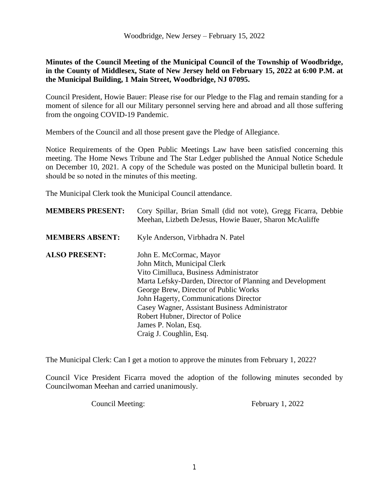## **Minutes of the Council Meeting of the Municipal Council of the Township of Woodbridge, in the County of Middlesex, State of New Jersey held on February 15, 2022 at 6:00 P.M. at the Municipal Building, 1 Main Street, Woodbridge, NJ 07095.**

Council President, Howie Bauer: Please rise for our Pledge to the Flag and remain standing for a moment of silence for all our Military personnel serving here and abroad and all those suffering from the ongoing COVID-19 Pandemic.

Members of the Council and all those present gave the Pledge of Allegiance.

Notice Requirements of the Open Public Meetings Law have been satisfied concerning this meeting. The Home News Tribune and The Star Ledger published the Annual Notice Schedule on December 10, 2021. A copy of the Schedule was posted on the Municipal bulletin board. It should be so noted in the minutes of this meeting.

The Municipal Clerk took the Municipal Council attendance.

| <b>MEMBERS PRESENT:</b> | Cory Spillar, Brian Small (did not vote), Gregg Ficarra, Debbie<br>Meehan, Lizbeth DeJesus, Howie Bauer, Sharon McAuliffe |
|-------------------------|---------------------------------------------------------------------------------------------------------------------------|
| <b>MEMBERS ABSENT:</b>  | Kyle Anderson, Virbhadra N. Patel                                                                                         |
| <b>ALSO PRESENT:</b>    | John E. McCormac, Mayor                                                                                                   |
|                         | John Mitch, Municipal Clerk                                                                                               |
|                         | Vito Cimilluca, Business Administrator                                                                                    |
|                         | Marta Lefsky-Darden, Director of Planning and Development                                                                 |
|                         | George Brew, Director of Public Works                                                                                     |
|                         | John Hagerty, Communications Director                                                                                     |
|                         | Casey Wagner, Assistant Business Administrator                                                                            |
|                         | Robert Hubner, Director of Police                                                                                         |
|                         | James P. Nolan, Esq.                                                                                                      |
|                         | Craig J. Coughlin, Esq.                                                                                                   |

The Municipal Clerk: Can I get a motion to approve the minutes from February 1, 2022?

Council Vice President Ficarra moved the adoption of the following minutes seconded by Councilwoman Meehan and carried unanimously.

Council Meeting: February 1, 2022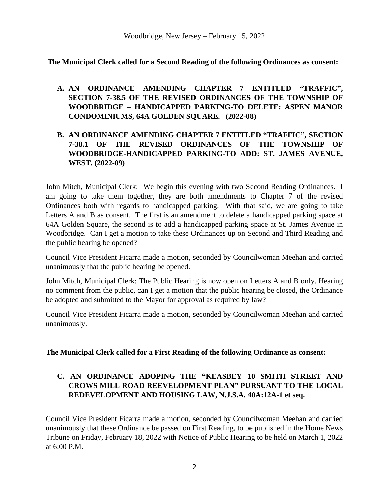**The Municipal Clerk called for a Second Reading of the following Ordinances as consent:**

**A. AN ORDINANCE AMENDING CHAPTER 7 ENTITLED "TRAFFIC" , SECTION 7-38.5 OF THE REVISED ORDINANCES OF THE TOWNSHIP OF WOODBRIDGE – HANDICAPPED PARKING-TO DELETE: ASPEN MANOR CONDOMINIUMS, 64A GOLDEN SQUARE. (2022-08)**

# **B. AN ORDINANCE AMENDING CHAPTER 7 ENTITLED "TRAFFIC" , SECTION 7-38.1 OF THE REVISED ORDINANCES OF THE TOWNSHIP OF WOODBRIDGE-HANDICAPPED PARKING-TO ADD: ST. JAMES AVENUE, WEST. (2022-09)**

John Mitch, Municipal Clerk: We begin this evening with two Second Reading Ordinances. I am going to take them together, they are both amendments to Chapter 7 of the revised Ordinances both with regards to handicapped parking. With that said, we are going to take Letters A and B as consent. The first is an amendment to delete a handicapped parking space at 64A Golden Square, the second is to add a handicapped parking space at St. James Avenue in Woodbridge. Can I get a motion to take these Ordinances up on Second and Third Reading and the public hearing be opened?

Council Vice President Ficarra made a motion, seconded by Councilwoman Meehan and carried unanimously that the public hearing be opened.

John Mitch, Municipal Clerk: The Public Hearing is now open on Letters A and B only. Hearing no comment from the public, can I get a motion that the public hearing be closed, the Ordinance be adopted and submitted to the Mayor for approval as required by law?

Council Vice President Ficarra made a motion, seconded by Councilwoman Meehan and carried unanimously.

## **The Municipal Clerk called for a First Reading of the following Ordinance as consent:**

# **C. AN ORDINANCE ADOPING THE "KEASBEY 10 SMITH STREET AND CROWS MILL ROAD REEVELOPMENT PLAN" PURSUANT TO THE LOCAL REDEVELOPMENT AND HOUSING LAW, N.J.S.A. 40A:12A-1 et seq.**

Council Vice President Ficarra made a motion, seconded by Councilwoman Meehan and carried unanimously that these Ordinance be passed on First Reading, to be published in the Home News Tribune on Friday, February 18, 2022 with Notice of Public Hearing to be held on March 1, 2022 at 6:00 P.M.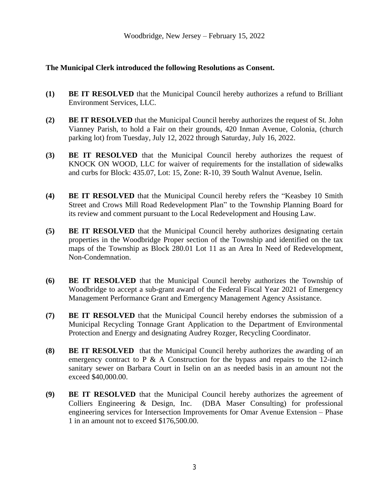## **The Municipal Clerk introduced the following Resolutions as Consent.**

- **(1) BE IT RESOLVED** that the Municipal Council hereby authorizes a refund to Brilliant Environment Services, LLC.
- **(2) BE IT RESOLVED** that the Municipal Council hereby authorizes the request of St. John Vianney Parish, to hold a Fair on their grounds, 420 Inman Avenue, Colonia, (church parking lot) from Tuesday, July 12, 2022 through Saturday, July 16, 2022.
- **(3) BE IT RESOLVED** that the Municipal Council hereby authorizes the request of KNOCK ON WOOD, LLC for waiver of requirements for the installation of sidewalks and curbs for Block: 435.07, Lot: 15, Zone: R-10, 39 South Walnut Avenue, Iselin.
- **(4) BE IT RESOLVED** that the Municipal Council hereby refers the "Keasbey 10 Smith Street and Crows Mill Road Redevelopment Plan" to the Township Planning Board for its review and comment pursuant to the Local Redevelopment and Housing Law.
- **(5) BE IT RESOLVED** that the Municipal Council hereby authorizes designating certain properties in the Woodbridge Proper section of the Township and identified on the tax maps of the Township as Block 280.01 Lot 11 as an Area In Need of Redevelopment, Non-Condemnation.
- **(6) BE IT RESOLVED** that the Municipal Council hereby authorizes the Township of Woodbridge to accept a sub-grant award of the Federal Fiscal Year 2021 of Emergency Management Performance Grant and Emergency Management Agency Assistance.
- **(7) BE IT RESOLVED** that the Municipal Council hereby endorses the submission of a Municipal Recycling Tonnage Grant Application to the Department of Environmental Protection and Energy and designating Audrey Rozger, Recycling Coordinator.
- **(8) BE IT RESOLVED** that the Municipal Council hereby authorizes the awarding of an emergency contract to P & A Construction for the bypass and repairs to the 12-inch sanitary sewer on Barbara Court in Iselin on an as needed basis in an amount not the exceed \$40,000.00.
- **(9) BE IT RESOLVED** that the Municipal Council hereby authorizes the agreement of Colliers Engineering & Design, Inc. (DBA Maser Consulting) for professional engineering services for Intersection Improvements for Omar Avenue Extension – Phase 1 in an amount not to exceed \$176,500.00.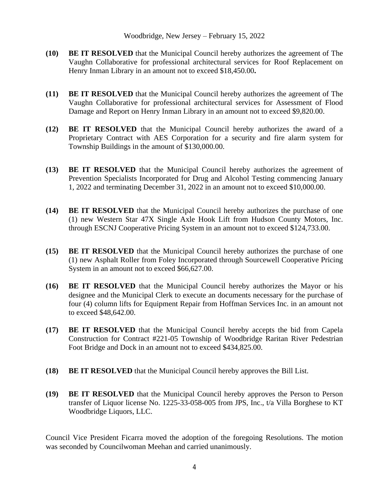- **(10) BE IT RESOLVED** that the Municipal Council hereby authorizes the agreement of The Vaughn Collaborative for professional architectural services for Roof Replacement on Henry Inman Library in an amount not to exceed \$18,450.00**.**
- **(11) BE IT RESOLVED** that the Municipal Council hereby authorizes the agreement of The Vaughn Collaborative for professional architectural services for Assessment of Flood Damage and Report on Henry Inman Library in an amount not to exceed \$9,820.00.
- **(12) BE IT RESOLVED** that the Municipal Council hereby authorizes the award of a Proprietary Contract with AES Corporation for a security and fire alarm system for Township Buildings in the amount of \$130,000.00.
- **(13) BE IT RESOLVED** that the Municipal Council hereby authorizes the agreement of Prevention Specialists Incorporated for Drug and Alcohol Testing commencing January 1, 2022 and terminating December 31, 2022 in an amount not to exceed \$10,000.00.
- **(14) BE IT RESOLVED** that the Municipal Council hereby authorizes the purchase of one (1) new Western Star 47X Single Axle Hook Lift from Hudson County Motors, Inc. through ESCNJ Cooperative Pricing System in an amount not to exceed \$124,733.00.
- **(15) BE IT RESOLVED** that the Municipal Council hereby authorizes the purchase of one (1) new Asphalt Roller from Foley Incorporated through Sourcewell Cooperative Pricing System in an amount not to exceed \$66,627.00.
- **(16) BE IT RESOLVED** that the Municipal Council hereby authorizes the Mayor or his designee and the Municipal Clerk to execute an documents necessary for the purchase of four (4) column lifts for Equipment Repair from Hoffman Services Inc. in an amount not to exceed \$48,642.00.
- **(17) BE IT RESOLVED** that the Municipal Council hereby accepts the bid from Capela Construction for Contract #221-05 Township of Woodbridge Raritan River Pedestrian Foot Bridge and Dock in an amount not to exceed \$434,825.00.
- **(18) BE IT RESOLVED** that the Municipal Council hereby approves the Bill List.
- **(19) BE IT RESOLVED** that the Municipal Council hereby approves the Person to Person transfer of Liquor license No. 1225-33-058-005 from JPS, Inc., t/a Villa Borghese to KT Woodbridge Liquors, LLC.

Council Vice President Ficarra moved the adoption of the foregoing Resolutions. The motion was seconded by Councilwoman Meehan and carried unanimously.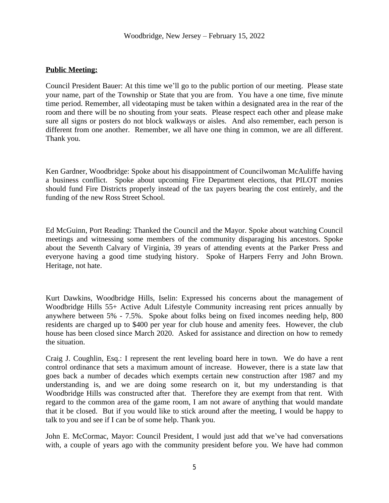## **Public Meeting:**

Council President Bauer: At this time we'll go to the public portion of our meeting. Please state your name, part of the Township or State that you are from. You have a one time, five minute time period. Remember, all videotaping must be taken within a designated area in the rear of the room and there will be no shouting from your seats. Please respect each other and please make sure all signs or posters do not block walkways or aisles. And also remember, each person is different from one another. Remember, we all have one thing in common, we are all different. Thank you.

Ken Gardner, Woodbridge: Spoke about his disappointment of Councilwoman McAuliffe having a business conflict. Spoke about upcoming Fire Department elections, that PILOT monies should fund Fire Districts properly instead of the tax payers bearing the cost entirely, and the funding of the new Ross Street School.

Ed McGuinn, Port Reading: Thanked the Council and the Mayor. Spoke about watching Council meetings and witnessing some members of the community disparaging his ancestors. Spoke about the Seventh Calvary of Virginia, 39 years of attending events at the Parker Press and everyone having a good time studying history. Spoke of Harpers Ferry and John Brown. Heritage, not hate.

Kurt Dawkins, Woodbridge Hills, Iselin: Expressed his concerns about the management of Woodbridge Hills 55+ Active Adult Lifestyle Community increasing rent prices annually by anywhere between 5% - 7.5%. Spoke about folks being on fixed incomes needing help, 800 residents are charged up to \$400 per year for club house and amenity fees. However, the club house has been closed since March 2020. Asked for assistance and direction on how to remedy the situation.

Craig J. Coughlin, Esq.: I represent the rent leveling board here in town. We do have a rent control ordinance that sets a maximum amount of increase. However, there is a state law that goes back a number of decades which exempts certain new construction after 1987 and my understanding is, and we are doing some research on it, but my understanding is that Woodbridge Hills was constructed after that. Therefore they are exempt from that rent. With regard to the common area of the game room, I am not aware of anything that would mandate that it be closed. But if you would like to stick around after the meeting, I would be happy to talk to you and see if I can be of some help. Thank you.

John E. McCormac, Mayor: Council President, I would just add that we've had conversations with, a couple of years ago with the community president before you. We have had common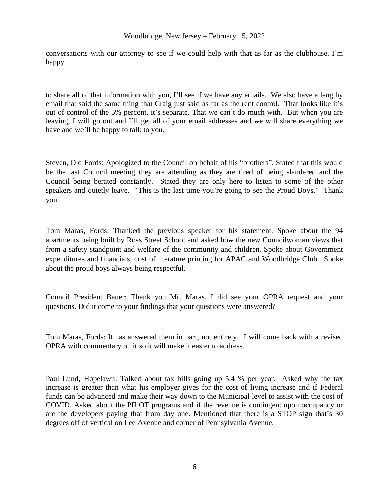#### Woodbridge, New Jersey – February 15, 2022

conversations with our attorney to see if we could help with that as far as the clubhouse. I'm happy

to share all of that information with you, I'll see if we have any emails. We also have a lengthy email that said the same thing that Craig just said as far as the rent control. That looks like it's out of control of the 5% percent, it's separate. That we can't do much with. But when you are leaving, I will go out and I'll get all of your email addresses and we will share everything we have and we'll be happy to talk to you.

Steven, Old Fords: Apologized to the Council on behalf of his "brothers". Stated that this would be the last Council meeting they are attending as they are tired of being slandered and the Council being berated constantly. Stated they are only here to listen to some of the other speakers and quietly leave. "This is the last time you're going to see the Proud Boys." Thank you.

Tom Maras, Fords: Thanked the previous speaker for his statement. Spoke about the 94 apartments being built by Ross Street School and asked how the new Councilwoman views that from a safety standpoint and welfare of the community and children. Spoke about Government expenditures and financials, cost of literature printing for APAC and Woodbridge Club. Spoke about the proud boys always being respectful.

Council President Bauer: Thank you Mr. Maras. I did see your OPRA request and your questions. Did it come to your findings that your questions were answered?

Tom Maras, Fords: It has answered them in part, not entirely. I will come back with a revised OPRA with commentary on it so it will make it easier to address.

Paul Lund, Hopelawn: Talked about tax bills going up 5.4 % per year. Asked why the tax increase is greater than what his employer gives for the cost of living increase and if Federal funds can be advanced and make their way down to the Municipal level to assist with the cost of COVID. Asked about the PILOT programs and if the revenue is contingent upon occupancy or are the developers paying that from day one. Mentioned that there is a STOP sign that's 30 degrees off of vertical on Lee Avenue and corner of Pennsylvania Avenue.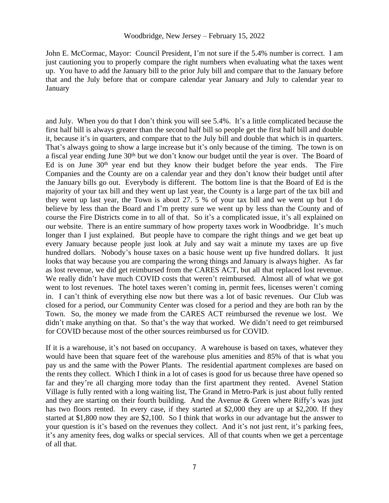John E. McCormac, Mayor: Council President, I'm not sure if the 5.4% number is correct. I am just cautioning you to properly compare the right numbers when evaluating what the taxes went up. You have to add the January bill to the prior July bill and compare that to the January before that and the July before that or compare calendar year January and July to calendar year to January

and July. When you do that I don't think you will see 5.4%. It's a little complicated because the first half bill is always greater than the second half bill so people get the first half bill and double it, because it's in quarters, and compare that to the July bill and double that which is in quarters. That's always going to show a large increase but it's only because of the timing. The town is on a fiscal year ending June 30<sup>th</sup> but we don't know our budget until the year is over. The Board of Ed is on June  $30<sup>th</sup>$  year end but they know their budget before the year ends. The Fire Companies and the County are on a calendar year and they don't know their budget until after the January bills go out. Everybody is different. The bottom line is that the Board of Ed is the majority of your tax bill and they went up last year, the County is a large part of the tax bill and they went up last year, the Town is about 27. 5 % of your tax bill and we went up but I do believe by less than the Board and I'm pretty sure we went up by less than the County and of course the Fire Districts come in to all of that. So it's a complicated issue, it's all explained on our website. There is an entire summary of how property taxes work in Woodbridge. It's much longer than I just explained. But people have to compare the right things and we get beat up every January because people just look at July and say wait a minute my taxes are up five hundred dollars. Nobody's house taxes on a basic house went up five hundred dollars. It just looks that way because you are comparing the wrong things and January is always higher. As far as lost revenue, we did get reimbursed from the CARES ACT, but all that replaced lost revenue. We really didn't have much COVID costs that weren't reimbursed. Almost all of what we got went to lost revenues. The hotel taxes weren't coming in, permit fees, licenses weren't coming in. I can't think of everything else now but there was a lot of basic revenues. Our Club was closed for a period, our Community Center was closed for a period and they are both ran by the Town. So, the money we made from the CARES ACT reimbursed the revenue we lost. We didn't make anything on that. So that's the way that worked. We didn't need to get reimbursed for COVID because most of the other sources reimbursed us for COVID.

If it is a warehouse, it's not based on occupancy. A warehouse is based on taxes, whatever they would have been that square feet of the warehouse plus amenities and 85% of that is what you pay us and the same with the Power Plants. The residential apartment complexes are based on the rents they collect. Which I think in a lot of cases is good for us because three have opened so far and they're all charging more today than the first apartment they rented. Avenel Station Village is fully rented with a long waiting list, The Grand in Metro-Park is just about fully rented and they are starting on their fourth building. And the Avenue & Green where Riffy's was just has two floors rented. In every case, if they started at \$2,000 they are up at \$2,200. If they started at \$1,800 now they are \$2,100. So I think that works in our advantage but the answer to your question is it's based on the revenues they collect. And it's not just rent, it's parking fees, it's any amenity fees, dog walks or special services. All of that counts when we get a percentage of all that.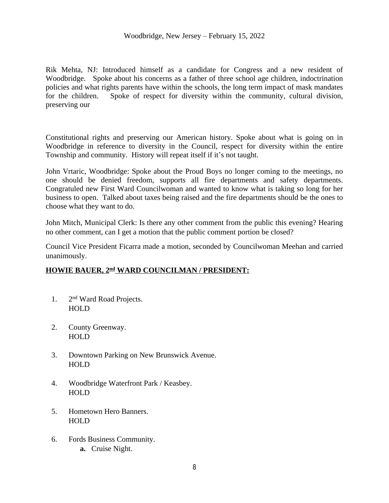Rik Mehta, NJ: Introduced himself as a candidate for Congress and a new resident of Woodbridge. Spoke about his concerns as a father of three school age children, indoctrination policies and what rights parents have within the schools, the long term impact of mask mandates for the children. Spoke of respect for diversity within the community, cultural division, preserving our

Constitutional rights and preserving our American history. Spoke about what is going on in Woodbridge in reference to diversity in the Council, respect for diversity within the entire Township and community. History will repeat itself if it's not taught.

John Vrtaric, Woodbridge: Spoke about the Proud Boys no longer coming to the meetings, no one should be denied freedom, supports all fire departments and safety departments. Congratuled new First Ward Councilwoman and wanted to know what is taking so long for her business to open. Talked about taxes being raised and the fire departments should be the ones to choose what they want to do.

John Mitch, Municipal Clerk: Is there any other comment from the public this evening? Hearing no other comment, can I get a motion that the public comment portion be closed?

Council Vice President Ficarra made a motion, seconded by Councilwoman Meehan and carried unanimously.

## **HOWIE BAUER, 2nd WARD COUNCILMAN / PRESIDENT:**

- 1. 2 2<sup>nd</sup> Ward Road Projects. HOLD
- 2. County Greenway. HOLD
- 3. Downtown Parking on New Brunswick Avenue. HOLD
- 4. Woodbridge Waterfront Park / Keasbey. HOLD
- 5. Hometown Hero Banners. HOLD
- 6. Fords Business Community. **a.** Cruise Night.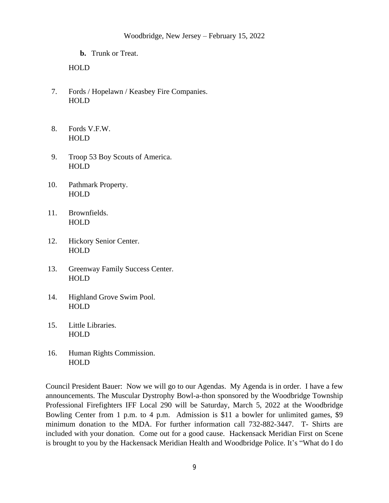**b.** Trunk or Treat.

## HOLD

- 7. Fords / Hopelawn / Keasbey Fire Companies. HOLD
- 8. Fords V.F.W. HOLD
- 9. Troop 53 Boy Scouts of America. HOLD
- 10. Pathmark Property. HOLD
- 11. Brownfields. HOLD
- 12. Hickory Senior Center. HOLD
- 13. Greenway Family Success Center. HOLD
- 14. Highland Grove Swim Pool. HOLD
- 15. Little Libraries. HOLD
- 16. Human Rights Commission. HOLD

Council President Bauer: Now we will go to our Agendas. My Agenda is in order. I have a few announcements. The Muscular Dystrophy Bowl-a-thon sponsored by the Woodbridge Township Professional Firefighters IFF Local 290 will be Saturday, March 5, 2022 at the Woodbridge Bowling Center from 1 p.m. to 4 p.m. Admission is \$11 a bowler for unlimited games, \$9 minimum donation to the MDA. For further information call 732-882-3447. T- Shirts are included with your donation. Come out for a good cause. Hackensack Meridian First on Scene is brought to you by the Hackensack Meridian Health and Woodbridge Police. It's "What do I do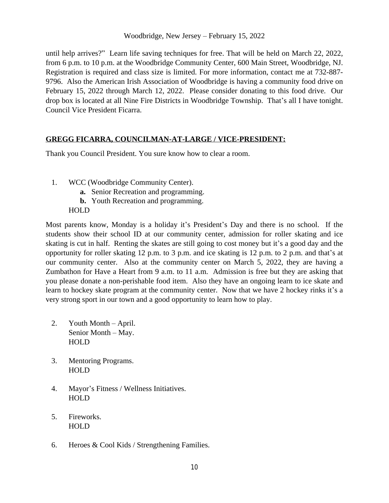Woodbridge, New Jersey – February 15, 2022

until help arrives?" Learn life saving techniques for free. That will be held on March 22, 2022, from 6 p.m. to 10 p.m. at the Woodbridge Community Center, 600 Main Street, Woodbridge, NJ. Registration is required and class size is limited. For more information, contact me at 732-887- 9796. Also the American Irish Association of Woodbridge is having a community food drive on February 15, 2022 through March 12, 2022. Please consider donating to this food drive. Our drop box is located at all Nine Fire Districts in Woodbridge Township. That's all I have tonight. Council Vice President Ficarra.

## **GREGG FICARRA, COUNCILMAN-AT-LARGE / VICE-PRESIDENT:**

Thank you Council President. You sure know how to clear a room.

- 1. WCC (Woodbridge Community Center).
	- **a.** Senior Recreation and programming.
	- **b.** Youth Recreation and programming.
	- HOLD

Most parents know, Monday is a holiday it's President's Day and there is no school. If the students show their school ID at our community center, admission for roller skating and ice skating is cut in half. Renting the skates are still going to cost money but it's a good day and the opportunity for roller skating 12 p.m. to 3 p.m. and ice skating is 12 p.m. to 2 p.m. and that's at our community center. Also at the community center on March 5, 2022, they are having a Zumbathon for Have a Heart from 9 a.m. to 11 a.m. Admission is free but they are asking that you please donate a non-perishable food item. Also they have an ongoing learn to ice skate and learn to hockey skate program at the community center. Now that we have 2 hockey rinks it's a very strong sport in our town and a good opportunity to learn how to play.

- 2. Youth Month April. Senior Month – May. **HOLD**
- 3. Mentoring Programs. HOLD
- 4. Mayor's Fitness / Wellness Initiatives. HOLD
- 5. Fireworks. HOLD
- 6. Heroes & Cool Kids / Strengthening Families.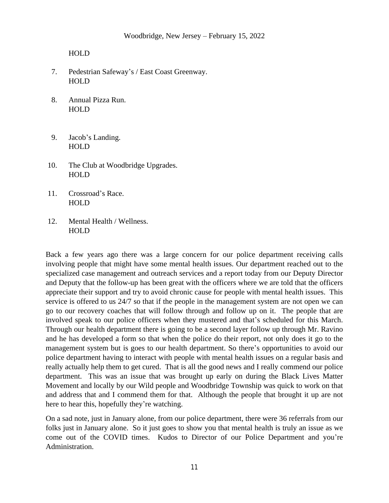- 7. Pedestrian Safeway's / East Coast Greenway. HOLD
- 8. Annual Pizza Run. HOLD
- 9. Jacob's Landing. HOLD
- 10. The Club at Woodbridge Upgrades. HOLD
- 11. Crossroad's Race. HOLD
- 12. Mental Health / Wellness. HOLD

Back a few years ago there was a large concern for our police department receiving calls involving people that might have some mental health issues. Our department reached out to the specialized case management and outreach services and a report today from our Deputy Director and Deputy that the follow-up has been great with the officers where we are told that the officers appreciate their support and try to avoid chronic cause for people with mental health issues. This service is offered to us 24/7 so that if the people in the management system are not open we can go to our recovery coaches that will follow through and follow up on it. The people that are involved speak to our police officers when they mustered and that's scheduled for this March. Through our health department there is going to be a second layer follow up through Mr. Ravino and he has developed a form so that when the police do their report, not only does it go to the management system but is goes to our health department. So there's opportunities to avoid our police department having to interact with people with mental health issues on a regular basis and really actually help them to get cured. That is all the good news and I really commend our police department. This was an issue that was brought up early on during the Black Lives Matter Movement and locally by our Wild people and Woodbridge Township was quick to work on that and address that and I commend them for that. Although the people that brought it up are not here to hear this, hopefully they're watching.

On a sad note, just in January alone, from our police department, there were 36 referrals from our folks just in January alone. So it just goes to show you that mental health is truly an issue as we come out of the COVID times. Kudos to Director of our Police Department and you're Administration.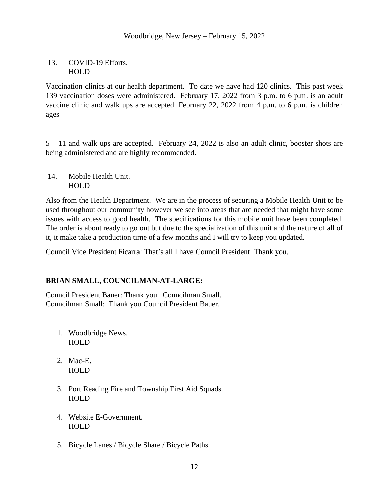13. COVID-19 Efforts. HOLD

Vaccination clinics at our health department. To date we have had 120 clinics. This past week 139 vaccination doses were administered. February 17, 2022 from 3 p.m. to 6 p.m. is an adult vaccine clinic and walk ups are accepted. February 22, 2022 from 4 p.m. to 6 p.m. is children ages

5 – 11 and walk ups are accepted. February 24, 2022 is also an adult clinic, booster shots are being administered and are highly recommended.

14. Mobile Health Unit. HOLD

Also from the Health Department. We are in the process of securing a Mobile Health Unit to be used throughout our community however we see into areas that are needed that might have some issues with access to good health. The specifications for this mobile unit have been completed. The order is about ready to go out but due to the specialization of this unit and the nature of all of it, it make take a production time of a few months and I will try to keep you updated.

Council Vice President Ficarra: That's all I have Council President. Thank you.

# **BRIAN SMALL, COUNCILMAN-AT-LARGE:**

Council President Bauer: Thank you. Councilman Small. Councilman Small: Thank you Council President Bauer.

- 1. Woodbridge News. HOLD
- 2. Mac-E. HOLD
- 3. Port Reading Fire and Township First Aid Squads. **HOLD**
- 4. Website E-Government. HOLD
- 5. Bicycle Lanes / Bicycle Share / Bicycle Paths.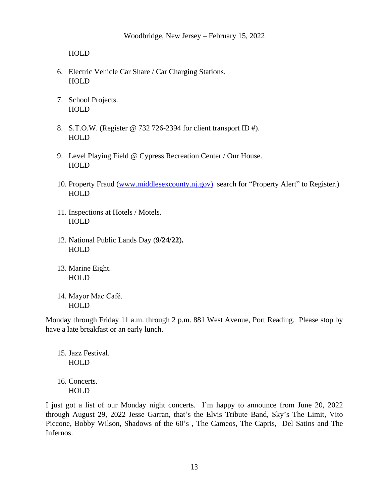- 6. Electric Vehicle Car Share / Car Charging Stations. HOLD
- 7. School Projects. **HOLD**
- 8. S.T.O.W. (Register @ 732 726-2394 for client transport ID #). HOLD
- 9. Level Playing Field @ Cypress Recreation Center / Our House. **HOLD**
- 10. Property Fraud [\(www.middlesexcounty.nj.gov\)](http://www.middlesexcounty.nj.gov) search for "Property Alert" to Register.) **HOLD**
- 11. Inspections at Hotels / Motels. HOLD
- 12. National Public Lands Day (**9/24/22**)**.** HOLD
- 13. Marine Eight. HOLD
- 14. Mayor Mac Café. HOLD

Monday through Friday 11 a.m. through 2 p.m. 881 West Avenue, Port Reading. Please stop by have a late breakfast or an early lunch.

15. Jazz Festival. HOLD

16. Concerts. HOLD

I just got a list of our Monday night concerts. I'm happy to announce from June 20, 2022 through August 29, 2022 Jesse Garran, that's the Elvis Tribute Band, Sky's The Limit, Vito Piccone, Bobby Wilson, Shadows of the 60's , The Cameos, The Capris, Del Satins and The Infernos.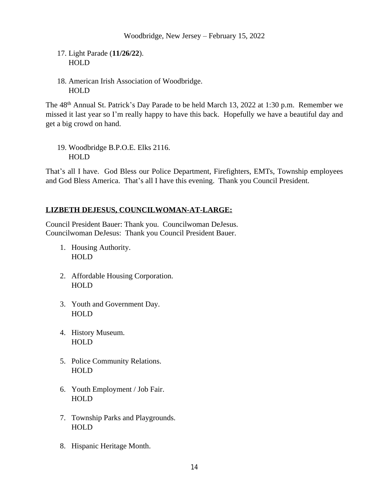- 17. Light Parade (**11/26/22**). HOLD
- 18. American Irish Association of Woodbridge. HOLD

The 48<sup>th</sup> Annual St. Patrick's Day Parade to be held March 13, 2022 at 1:30 p.m. Remember we missed it last year so I'm really happy to have this back. Hopefully we have a beautiful day and get a big crowd on hand.

19. Woodbridge B.P.O.E. Elks 2116. HOLD

That's all I have. God Bless our Police Department, Firefighters, EMTs, Township employees and God Bless America. That's all I have this evening. Thank you Council President.

# **LIZBETH DEJESUS, COUNCILWOMAN-AT-LARGE:**

Council President Bauer: Thank you. Councilwoman DeJesus. Councilwoman DeJesus: Thank you Council President Bauer.

- 1. Housing Authority. HOLD
- 2. Affordable Housing Corporation. HOLD
- 3. Youth and Government Day. HOLD
- 4. History Museum. HOLD
- 5. Police Community Relations. HOLD
- 6. Youth Employment / Job Fair. HOLD
- 7. Township Parks and Playgrounds. HOLD
- 8. Hispanic Heritage Month.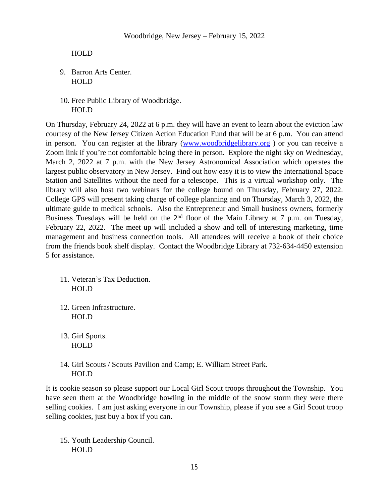- 9. Barron Arts Center. HOLD
- 10. Free Public Library of Woodbridge. HOLD

On Thursday, February 24, 2022 at 6 p.m. they will have an event to learn about the eviction law courtesy of the New Jersey Citizen Action Education Fund that will be at 6 p.m. You can attend in person. You can register at the library [\(www.woodbridgelibrary.org](http://www.woodbridgelibrary.org)) or you can receive a Zoom link if you're not comfortable being there in person. Explore the night sky on Wednesday, March 2, 2022 at 7 p.m. with the New Jersey Astronomical Association which operates the largest public observatory in New Jersey. Find out how easy it is to view the International Space Station and Satellites without the need for a telescope. This is a virtual workshop only. The library will also host two webinars for the college bound on Thursday, February 27, 2022. College GPS will present taking charge of college planning and on Thursday, March 3, 2022, the ultimate guide to medical schools. Also the Entrepreneur and Small business owners, formerly Business Tuesdays will be held on the 2<sup>nd</sup> floor of the Main Library at 7 p.m. on Tuesday, February 22, 2022. The meet up will included a show and tell of interesting marketing, time management and business connection tools. All attendees will receive a book of their choice from the friends book shelf display. Contact the Woodbridge Library at 732-634-4450 extension 5 for assistance.

- 11. Veteran's Tax Deduction. HOLD
- 12. Green Infrastructure. HOLD
- 13. Girl Sports. HOLD
- 14. Girl Scouts / Scouts Pavilion and Camp; E. William Street Park. HOLD

It is cookie season so please support our Local Girl Scout troops throughout the Township. You have seen them at the Woodbridge bowling in the middle of the snow storm they were there selling cookies. I am just asking everyone in our Township, please if you see a Girl Scout troop selling cookies, just buy a box if you can.

15. Youth Leadership Council. HOLD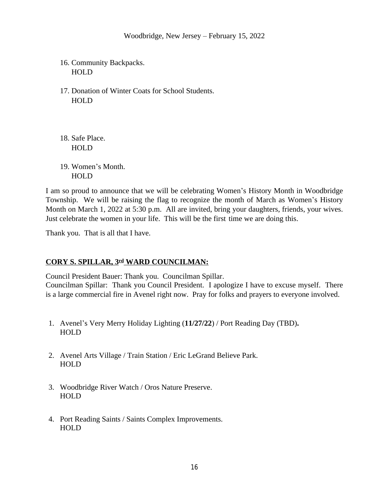- 16. Community Backpacks. HOLD
- 17. Donation of Winter Coats for School Students. HOLD
- 18. Safe Place. **HOLD**
- 19. Women's Month. HOLD

I am so proud to announce that we will be celebrating Women's History Month in Woodbridge Township. We will be raising the flag to recognize the month of March as Women's History Month on March 1, 2022 at 5:30 p.m. All are invited, bring your daughters, friends, your wives. Just celebrate the women in your life. This will be the first time we are doing this.

Thank you. That is all that I have.

# **CORY S. SPILLAR, 3rd WARD COUNCILMAN:**

Council President Bauer: Thank you. Councilman Spillar.

Councilman Spillar: Thank you Council President. I apologize I have to excuse myself. There is a large commercial fire in Avenel right now. Pray for folks and prayers to everyone involved.

- 1. Avenel's Very Merry Holiday Lighting (**11/27/22**) / Port Reading Day (TBD)**.** HOLD
- 2. Avenel Arts Village / Train Station / Eric LeGrand Believe Park. HOLD
- 3. Woodbridge River Watch / Oros Nature Preserve. HOLD
- 4. Port Reading Saints / Saints Complex Improvements. HOLD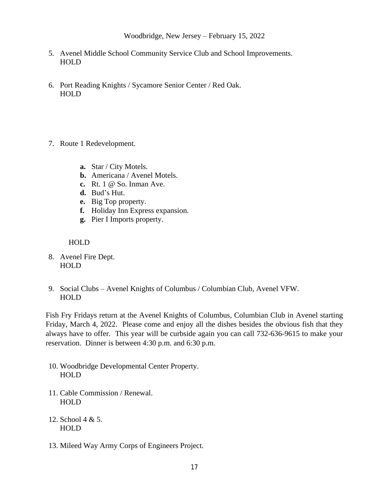- 5. Avenel Middle School Community Service Club and School Improvements. HOLD
- 6. Port Reading Knights / Sycamore Senior Center / Red Oak. **HOLD**
- 7. Route 1 Redevelopment.
	- **a.** Star / City Motels.
	- **b.** Americana / Avenel Motels.
	- **c.** Rt. 1 @ So. Inman Ave.
	- **d.** Bud's Hut.
	- **e.** Big Top property.
	- **f.** Holiday Inn Express expansion.
	- **g.** Pier I Imports property.

- 8. Avenel Fire Dept. HOLD
- 9. Social Clubs Avenel Knights of Columbus / Columbian Club, Avenel VFW. HOLD

Fish Fry Fridays return at the Avenel Knights of Columbus, Columbian Club in Avenel starting Friday, March 4, 2022. Please come and enjoy all the dishes besides the obvious fish that they always have to offer. This year will be curbside again you can call 732-636-9615 to make your reservation. Dinner is between 4:30 p.m. and 6:30 p.m.

- 10. Woodbridge Developmental Center Property. HOLD
- 11. Cable Commission / Renewal. HOLD
- 12. School 4 & 5. HOLD
- 13. Mileed Way Army Corps of Engineers Project.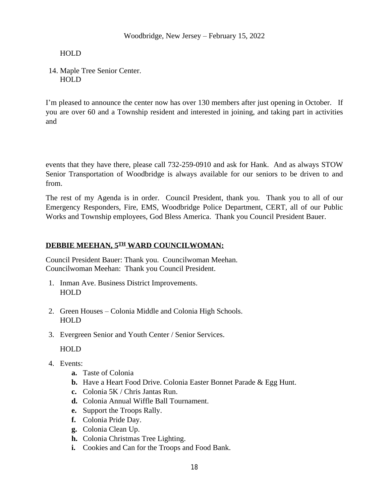14. Maple Tree Senior Center. HOLD

I'm pleased to announce the center now has over 130 members after just opening in October. If you are over 60 and a Township resident and interested in joining, and taking part in activities and

events that they have there, please call 732-259-0910 and ask for Hank. And as always STOW Senior Transportation of Woodbridge is always available for our seniors to be driven to and from.

The rest of my Agenda is in order. Council President, thank you. Thank you to all of our Emergency Responders, Fire, EMS, Woodbridge Police Department, CERT, all of our Public Works and Township employees, God Bless America. Thank you Council President Bauer.

## **DEBBIE MEEHAN, 5TH WARD COUNCILWOMAN:**

Council President Bauer: Thank you. Councilwoman Meehan. Councilwoman Meehan: Thank you Council President.

- 1. Inman Ave. Business District Improvements. HOLD
- 2. Green Houses Colonia Middle and Colonia High Schools. HOLD
- 3. Evergreen Senior and Youth Center / Senior Services.

HOLD

- 4. Events:
	- **a.** Taste of Colonia
	- **b.** Have a Heart Food Drive. Colonia Easter Bonnet Parade & Egg Hunt.
	- **c.** Colonia 5K / Chris Jantas Run.
	- **d.** Colonia Annual Wiffle Ball Tournament.
	- **e.** Support the Troops Rally.
	- **f.** Colonia Pride Day.
	- **g.** Colonia Clean Up.
	- **h.** Colonia Christmas Tree Lighting.
	- **i.** Cookies and Can for the Troops and Food Bank.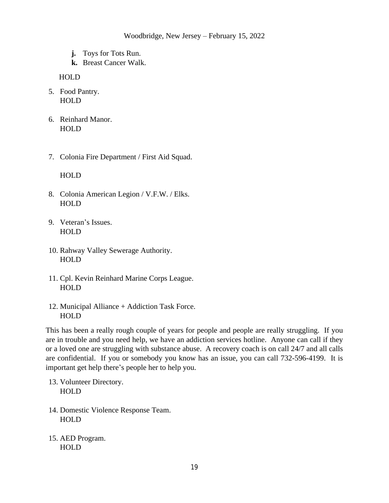- **j.** Toys for Tots Run.
- **k.** Breast Cancer Walk.

- 5. Food Pantry. HOLD
- 6. Reinhard Manor. HOLD
- 7. Colonia Fire Department / First Aid Squad.

HOLD

- 8. Colonia American Legion / V.F.W. / Elks. HOLD
- 9. Veteran's Issues. HOLD
- 10. Rahway Valley Sewerage Authority. **HOLD**
- 11. Cpl. Kevin Reinhard Marine Corps League. HOLD
- 12. Municipal Alliance + Addiction Task Force. HOLD

This has been a really rough couple of years for people and people are really struggling. If you are in trouble and you need help, we have an addiction services hotline. Anyone can call if they or a loved one are struggling with substance abuse. A recovery coach is on call 24/7 and all calls are confidential. If you or somebody you know has an issue, you can call 732-596-4199. It is important get help there's people her to help you.

- 13. Volunteer Directory. HOLD
- 14. Domestic Violence Response Team. HOLD
- 15. AED Program. HOLD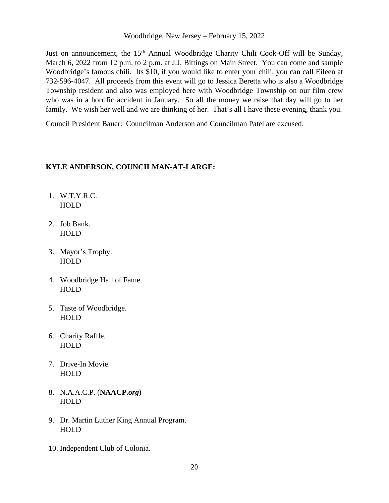Woodbridge, New Jersey – February 15, 2022

Just on announcement, the 15<sup>th</sup> Annual Woodbridge Charity Chili Cook-Off will be Sunday, March 6, 2022 from 12 p.m. to 2 p.m. at J.J. Bittings on Main Street. You can come and sample Woodbridge's famous chili. Its \$10, if you would like to enter your chili, you can call Eileen at 732-596-4047. All proceeds from this event will go to Jessica Beretta who is also a Woodbridge Township resident and also was employed here with Woodbridge Township on our film crew who was in a horrific accident in January. So all the money we raise that day will go to her family. We wish her well and we are thinking of her. That's all I have these evening, thank you.

Council President Bauer: Councilman Anderson and Councilman Patel are excused.

### **KYLE ANDERSON, COUNCILMAN-AT-LARGE:**

- 1. W.T.Y.R.C. HOLD
- 2. Job Bank. HOLD
- 3. Mayor's Trophy. HOLD
- 4. Woodbridge Hall of Fame. HOLD
- 5. Taste of Woodbridge. HOLD
- 6. Charity Raffle. **HOLD**
- 7. Drive-In Movie. HOLD
- 8. N.A.A.C.P. (**NAACP.***org***)** HOLD
- 9. Dr. Martin Luther King Annual Program. HOLD
- 10. Independent Club of Colonia.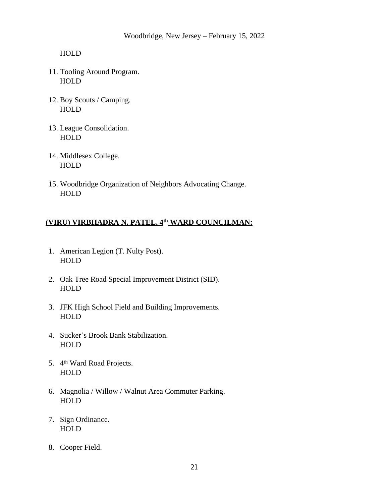- 11. Tooling Around Program. HOLD
- 12. Boy Scouts / Camping. HOLD
- 13. League Consolidation. HOLD
- 14. Middlesex College. HOLD
- 15. Woodbridge Organization of Neighbors Advocating Change. **HOLD**

## **(VIRU) VIRBHADRA N. PATEL, 4th WARD COUNCILMAN:**

- 1. American Legion (T. Nulty Post). HOLD
- 2. Oak Tree Road Special Improvement District (SID). HOLD
- 3. JFK High School Field and Building Improvements. HOLD
- 4. Sucker's Brook Bank Stabilization. HOLD
- 5. 4<sup>th</sup> Ward Road Projects. HOLD
- 6. Magnolia / Willow / Walnut Area Commuter Parking. HOLD
- 7. Sign Ordinance. **HOLD**
- 8. Cooper Field.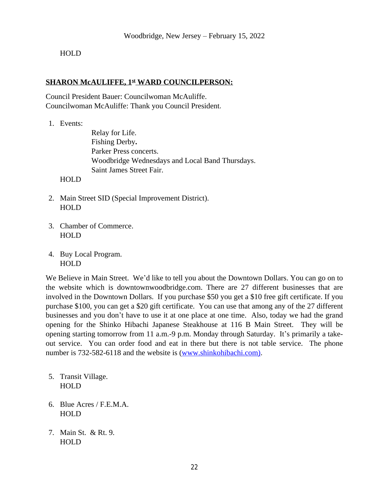### **SHARON McAULIFFE, 1st WARD COUNCILPERSON:**

Council President Bauer: Councilwoman McAuliffe. Councilwoman McAuliffe: Thank you Council President.

1. Events:

Relay for Life. Fishing Derby**.** Parker Press concerts. Woodbridge Wednesdays and Local Band Thursdays. Saint James Street Fair.

HOLD

- 2. Main Street SID (Special Improvement District). HOLD
- 3. Chamber of Commerce. HOLD
- 4. Buy Local Program. HOLD

We Believe in Main Street. We'd like to tell you about the Downtown Dollars. You can go on to the website which is downtownwoodbridge.com. There are 27 different businesses that are involved in the Downtown Dollars. If you purchase \$50 you get a \$10 free gift certificate. If you purchase \$100, you can get a \$20 gift certificate. You can use that among any of the 27 different businesses and you don't have to use it at one place at one time. Also, today we had the grand opening for the Shinko Hibachi Japanese Steakhouse at 116 B Main Street. They will be opening starting tomorrow from 11 a.m.-9 p.m. Monday through Saturday. It's primarily a takeout service. You can order food and eat in there but there is not table service. The phone number is 732-582-6118 and the website is [\(www.shinkohibachi.com\)](http://www.shinkohibachi.com).

- 5. Transit Village. HOLD
- 6. Blue Acres / F.E.M.A. HOLD
- 7. Main St. & Rt. 9. HOLD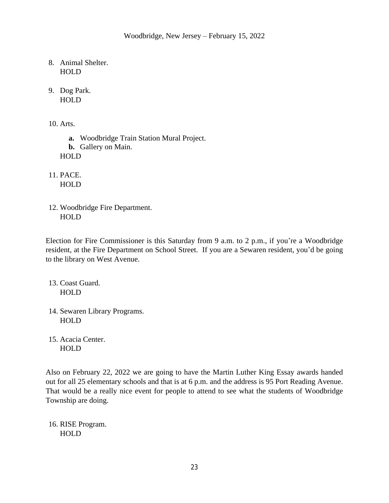- 8. Animal Shelter. HOLD
- 9. Dog Park. HOLD
- 10. Arts.

**a.** Woodbridge Train Station Mural Project. **b.** Gallery on Main. HOLD

11. PACE. HOLD

12. Woodbridge Fire Department. HOLD

Election for Fire Commissioner is this Saturday from 9 a.m. to 2 p.m., if you're a Woodbridge resident, at the Fire Department on School Street. If you are a Sewaren resident, you'd be going to the library on West Avenue.

- 13. Coast Guard. HOLD
- 14. Sewaren Library Programs. HOLD
- 15. Acacia Center. HOLD

Also on February 22, 2022 we are going to have the Martin Luther King Essay awards handed out for all 25 elementary schools and that is at 6 p.m. and the address is 95 Port Reading Avenue. That would be a really nice event for people to attend to see what the students of Woodbridge Township are doing.

16. RISE Program. **HOLD**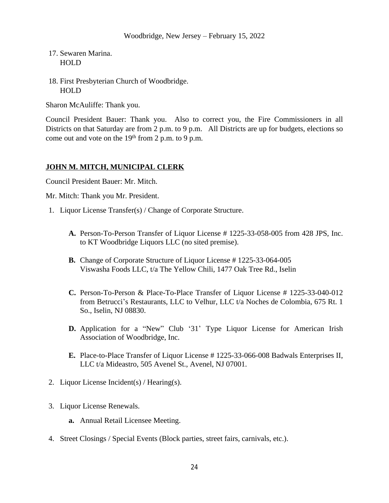- 17. Sewaren Marina. HOLD
- 18. First Presbyterian Church of Woodbridge. HOLD

Sharon McAuliffe: Thank you.

Council President Bauer: Thank you. Also to correct you, the Fire Commissioners in all Districts on that Saturday are from 2 p.m. to 9 p.m. All Districts are up for budgets, elections so come out and vote on the  $19<sup>th</sup>$  from 2 p.m. to 9 p.m.

## **JOHN M. MITCH, MUNICIPAL CLERK**

Council President Bauer: Mr. Mitch.

Mr. Mitch: Thank you Mr. President.

- 1. Liquor License Transfer(s) / Change of Corporate Structure.
	- **A.** Person-To-Person Transfer of Liquor License # 1225-33-058-005 from 428 JPS, Inc. to KT Woodbridge Liquors LLC (no sited premise).
	- **B.** Change of Corporate Structure of Liquor License # 1225-33-064-005 Viswasha Foods LLC, t/a The Yellow Chili, 1477 Oak Tree Rd., Iselin
	- **C.** Person-To-Person & Place-To-Place Transfer of Liquor License # 1225-33-040-012 from Betrucci's Restaurants, LLC to Velhur, LLC t/a Noches de Colombia, 675 Rt. 1 So., Iselin, NJ 08830.
	- **D.** Application for a "New" Club '31' Type Liquor License for American Irish Association of Woodbridge, Inc.
	- **E.** Place-to-Place Transfer of Liquor License # 1225-33-066-008 Badwals Enterprises II, LLC t/a Mideastro, 505 Avenel St., Avenel, NJ 07001.
- 2. Liquor License Incident(s) / Hearing(s).
- 3. Liquor License Renewals.
	- **a.** Annual Retail Licensee Meeting.
- 4. Street Closings / Special Events (Block parties, street fairs, carnivals, etc.).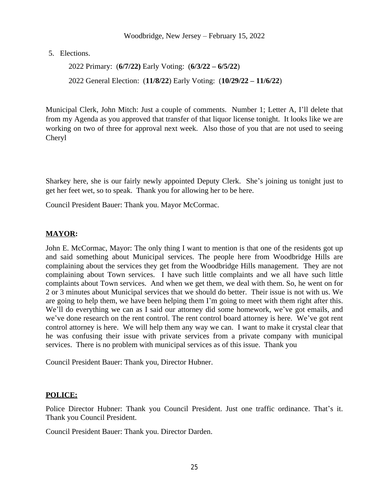#### Woodbridge, New Jersey – February 15, 2022

5. Elections.

2022 Primary: (**6/7/22)** Early Voting: (**6/3/22 – 6/5/22**) 2022 General Election: (**11/8/22**) Early Voting: (**10/29/22 – 11/6/22**)

Municipal Clerk, John Mitch: Just a couple of comments. Number 1; Letter A, I'll delete that from my Agenda as you approved that transfer of that liquor license tonight. It looks like we are working on two of three for approval next week. Also those of you that are not used to seeing Cheryl

Sharkey here, she is our fairly newly appointed Deputy Clerk. She's joining us tonight just to get her feet wet, so to speak. Thank you for allowing her to be here.

Council President Bauer: Thank you. Mayor McCormac.

## **MAYOR:**

John E. McCormac, Mayor: The only thing I want to mention is that one of the residents got up and said something about Municipal services. The people here from Woodbridge Hills are complaining about the services they get from the Woodbridge Hills management. They are not complaining about Town services. I have such little complaints and we all have such little complaints about Town services. And when we get them, we deal with them. So, he went on for 2 or 3 minutes about Municipal services that we should do better. Their issue is not with us. We are going to help them, we have been helping them I'm going to meet with them right after this. We'll do everything we can as I said our attorney did some homework, we've got emails, and we've done research on the rent control. The rent control board attorney is here. We've got rent control attorney is here. We will help them any way we can. I want to make it crystal clear that he was confusing their issue with private services from a private company with municipal services. There is no problem with municipal services as of this issue. Thank you

Council President Bauer: Thank you, Director Hubner.

## **POLICE:**

Police Director Hubner: Thank you Council President. Just one traffic ordinance. That's it. Thank you Council President.

Council President Bauer: Thank you. Director Darden.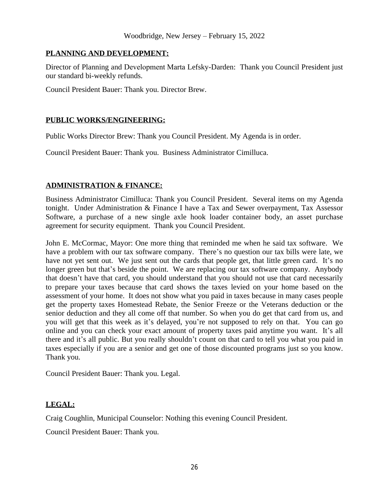### **PLANNING AND DEVELOPMENT:**

Director of Planning and Development Marta Lefsky-Darden: Thank you Council President just our standard bi-weekly refunds.

Council President Bauer: Thank you. Director Brew.

### **PUBLIC WORKS/ENGINEERING:**

Public Works Director Brew: Thank you Council President. My Agenda is in order.

Council President Bauer: Thank you. Business Administrator Cimilluca.

## **ADMINISTRATION & FINANCE:**

Business Administrator Cimilluca: Thank you Council President. Several items on my Agenda tonight. Under Administration & Finance I have a Tax and Sewer overpayment, Tax Assessor Software, a purchase of a new single axle hook loader container body, an asset purchase agreement for security equipment. Thank you Council President.

John E. McCormac, Mayor: One more thing that reminded me when he said tax software. We have a problem with our tax software company. There's no question our tax bills were late, we have not yet sent out. We just sent out the cards that people get, that little green card. It's no longer green but that's beside the point. We are replacing our tax software company. Anybody that doesn't have that card, you should understand that you should not use that card necessarily to prepare your taxes because that card shows the taxes levied on your home based on the assessment of your home. It does not show what you paid in taxes because in many cases people get the property taxes Homestead Rebate, the Senior Freeze or the Veterans deduction or the senior deduction and they all come off that number. So when you do get that card from us, and you will get that this week as it's delayed, you're not supposed to rely on that. You can go online and you can check your exact amount of property taxes paid anytime you want. It's all there and it's all public. But you really shouldn't count on that card to tell you what you paid in taxes especially if you are a senior and get one of those discounted programs just so you know. Thank you.

Council President Bauer: Thank you. Legal.

## **LEGAL:**

Craig Coughlin, Municipal Counselor: Nothing this evening Council President.

Council President Bauer: Thank you.